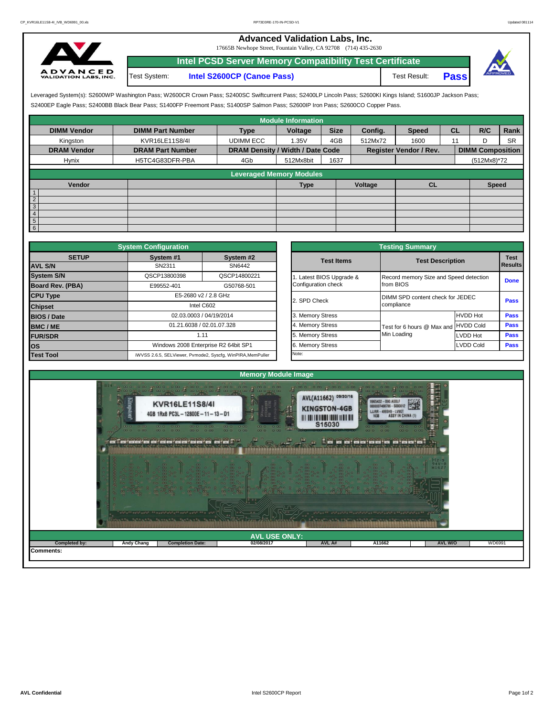## **Advanced Validation Labs, Inc.**

17665B Newhope Street, Fountain Valley, CA 92708 (714) 435-2630



Test System: **Intel S2600CP (Canoe Pass)** Test Result: **Pass Intel PCSD Server Memory Compatibility Test Certificate**



S2400EP Eagle Pass; S2400BB Black Bear Pass; S1400FP Freemont Pass; S1400SP Salmon Pass; S2600IP Iron Pass; S2600CO Copper Pass. Leveraged System(s): S2600WP Washington Pass; W2600CR Crown Pass; S2400SC Swiftcurrent Pass; S2400LP Lincoln Pass; S2600KI Kings Island; S1600JP Jackson Pass;

|                                  |                         |                                  | <b>Module Information</b> |             |         |                               |           |                         |           |
|----------------------------------|-------------------------|----------------------------------|---------------------------|-------------|---------|-------------------------------|-----------|-------------------------|-----------|
| <b>DIMM Vendor</b>               | <b>DIMM Part Number</b> | <b>Type</b>                      | Voltage                   | <b>Size</b> | Config. | <b>Speed</b>                  | <b>CL</b> | R/C                     | Rank      |
| Kingston                         | KVR16LE11S8/4I          | <b>UDIMM ECC</b>                 | 1.35V                     | 4GB         | 512Mx72 | 1600                          |           |                         | <b>SR</b> |
| <b>DRAM Vendor</b>               | <b>DRAM Part Number</b> | DRAM Density / Width / Date Code |                           |             |         | <b>Register Vendor / Rev.</b> |           | <b>DIMM Composition</b> |           |
| Hynix                            | H5TC4G83DFR-PBA         | 4Gb                              | 512Mx8bit                 | 1637        |         |                               |           | (512Mx8)*72             |           |
|                                  |                         | <b>Leveraged Memory Modules</b>  |                           |             |         |                               |           |                         |           |
| Vendor                           |                         |                                  | <b>Type</b>               |             | Voltage | <b>CL</b>                     |           | <b>Speed</b>            |           |
| $\overline{1}$                   |                         |                                  |                           |             |         |                               |           |                         |           |
| $\overline{2}$                   |                         |                                  |                           |             |         |                               |           |                         |           |
| $\overline{3}$<br>$\overline{4}$ |                         |                                  |                           |             |         |                               |           |                         |           |
| $5\overline{)}$                  |                         |                                  |                           |             |         |                               |           |                         |           |
| $6\phantom{.}6$                  |                         |                                  |                           |             |         |                               |           |                         |           |

|                              | <b>System Configuration</b> |                                                             |                                  | <b>Testing Summary</b>                 |                  |                 |  |  |  |  |  |  |
|------------------------------|-----------------------------|-------------------------------------------------------------|----------------------------------|----------------------------------------|------------------|-----------------|--|--|--|--|--|--|
| <b>SETUP</b>                 | System #1                   | System #2                                                   | <b>Test Items</b>                | <b>Test Description</b>                |                  | <b>Test</b>     |  |  |  |  |  |  |
| <b>AVL S/N</b>               | SN2311                      | SN6442                                                      |                                  |                                        |                  | <b>I</b> Result |  |  |  |  |  |  |
| <b>System S/N</b>            | QSCP13800398                | QSCP14800221                                                | Latest BIOS Upgrade &            | Record memory Size and Speed detection |                  | Done            |  |  |  |  |  |  |
| Board Rev. (PBA)             | E99552-401                  | G50768-501                                                  | Configuration check              | from BIOS                              |                  |                 |  |  |  |  |  |  |
| <b>CPU Type</b>              | E5-2680 v2 / 2.8 GHz        | 2. SPD Check                                                | DIMM SPD content check for JEDEC | Pass                                   |                  |                 |  |  |  |  |  |  |
| Intel C602<br><b>Chipset</b> |                             |                                                             | compliance                       |                                        |                  |                 |  |  |  |  |  |  |
| <b>BIOS / Date</b>           |                             | 02.03.0003 / 04/19/2014                                     | 3. Memory Stress                 |                                        | <b>HVDD Hot</b>  | Pass            |  |  |  |  |  |  |
| <b>BMC/ME</b>                |                             | 01.21.6038 / 02.01.07.328                                   | 4. Memory Stress                 | Test for 6 hours @ Max and HVDD Cold   |                  | Pass            |  |  |  |  |  |  |
| <b>FUR/SDR</b>               | 1.11                        |                                                             | 5. Memory Stress                 | Min Loading                            | LVDD Hot         | Pass            |  |  |  |  |  |  |
| los                          |                             | Windows 2008 Enterprise R2 64bit SP1                        | 6. Memory Stress                 |                                        | <b>LVDD Cold</b> |                 |  |  |  |  |  |  |
| <b>Test Tool</b>             |                             | iWVSS 2.6.5, SELViewer, Pvmode2, Syscfg, WinPIRA, MemPuller | Note:                            |                                        |                  |                 |  |  |  |  |  |  |

| <b>ifiquration</b>                |                                                     | <b>Testing Summary</b> |                                        |                  |             |  |  |  |  |  |
|-----------------------------------|-----------------------------------------------------|------------------------|----------------------------------------|------------------|-------------|--|--|--|--|--|
| vstem #1                          | System #2                                           | <b>Test Items</b>      | <b>Test Description</b>                | <b>Test</b>      |             |  |  |  |  |  |
| SN2311                            | SN6442                                              |                        |                                        |                  | Results     |  |  |  |  |  |
| CP13800398                        | QSCP14800221                                        | Latest BIOS Upgrade &  | Record memory Size and Speed detection |                  | <b>Done</b> |  |  |  |  |  |
| 39552-401<br>G50768-501           |                                                     | Configuration check    | from BIOS                              |                  |             |  |  |  |  |  |
| E5-2680 v2 / 2.8 GHz              |                                                     | 2. SPD Check           | DIMM SPD content check for JEDEC       | Pass             |             |  |  |  |  |  |
|                                   | Intel C602                                          |                        | compliance                             |                  |             |  |  |  |  |  |
| 02.03.0003 / 04/19/2014           |                                                     | 3. Memory Stress       |                                        | <b>HVDD Hot</b>  | Pass        |  |  |  |  |  |
| 01.21.6038 / 02.01.07.328<br>1.11 |                                                     | 4. Memory Stress       | Test for 6 hours @ Max and             | <b>HVDD Cold</b> | Pass        |  |  |  |  |  |
|                                   |                                                     | 5. Memory Stress       | Min Loading                            | <b>LVDD Hot</b>  | Pass        |  |  |  |  |  |
|                                   | Vindows 2008 Enterprise R2 64bit SP1                | 6. Memory Stress       |                                        | <b>LVDD Cold</b> | Pass        |  |  |  |  |  |
|                                   | 6.5, SELViewer, Pvmode2, Syscfg, WinPIRA, MemPuller | Note:                  |                                        |                  |             |  |  |  |  |  |